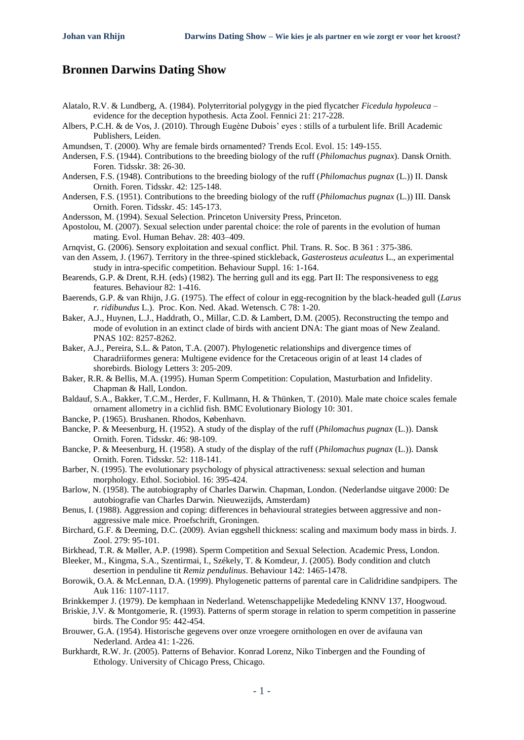## **Bronnen Darwins Dating Show**

- Alatalo, R.V. & Lundberg, A. (1984). Polyterritorial polygygy in the pied flycatcher *Ficedula hypoleuca* evidence for the deception hypothesis. Acta Zool. Fennici 21: 217-228.
- Albers, P.C.H. & de Vos, J. (2010). Through Eugène Dubois' eyes : stills of a turbulent life. Brill Academic Publishers, Leiden.
- Amundsen, T. (2000). Why are female birds ornamented? Trends Ecol. Evol. 15: 149-155.
- Andersen, F.S. (1944). Contributions to the breeding biology of the ruff (*Philomachus pugnax*). Dansk Ornith. Foren. Tidsskr. 38: 26-30.
- Andersen, F.S. (1948). Contributions to the breeding biology of the ruff (*Philomachus pugnax* (L.)) II. Dansk Ornith. Foren. Tidsskr. 42: 125-148.
- Andersen, F.S. (1951). Contributions to the breeding biology of the ruff (*Philomachus pugnax* (L.)) III. Dansk Ornith. Foren. Tidsskr. 45: 145-173.
- Andersson, M. (1994). Sexual Selection. Princeton University Press, Princeton.
- Apostolou, M. (2007). Sexual selection under parental choice: the role of parents in the evolution of human mating. Evol. Human Behav. 28: 403–409.
- Arnqvist, G. (2006). Sensory exploitation and sexual conflict. Phil. Trans. R. Soc. B 361 : 375-386.
- van den Assem, J. (1967). Territory in the three-spined stickleback, *Gasterosteus aculeatus* L., an experimental study in intra-specific competition. Behaviour Suppl. 16: 1-164.
- Bearends, G.P. & Drent, R.H. (eds) (1982). The herring gull and its egg. Part II: The responsiveness to egg features. Behaviour 82: 1-416.
- Baerends, G.P. & van Rhijn, J.G. (1975). The effect of colour in egg-recognition by the black-headed gull (*Larus r. ridibundus* L.). Proc. Kon. Ned. Akad. Wetensch. C 78: 1-20.
- Baker, A.J., Huynen, L.J., Haddrath, O., Millar, C.D. & Lambert, D.M. (2005). Reconstructing the tempo and mode of evolution in an extinct clade of birds with ancient DNA: The giant moas of New Zealand. PNAS 102: 8257-8262.
- Baker, A.J., Pereira, S.L. & Paton, T.A. (2007). Phylogenetic relationships and divergence times of Charadriiformes genera: Multigene evidence for the Cretaceous origin of at least 14 clades of shorebirds. Biology Letters 3: 205-209.
- Baker, R.R. & Bellis, M.A. (1995). Human Sperm Competition: Copulation, Masturbation and Infidelity. Chapman & Hall, London.
- Baldauf, S.A., Bakker, T.C.M., Herder, F. Kullmann, H. & Thünken, T. (2010). Male mate choice scales female ornament allometry in a cichlid fish. BMC Evolutionary Biology 10: 301.
- Bancke, P. (1965). Brushanen. Rhodos, København.
- Bancke, P. & Meesenburg, H. (1952). A study of the display of the ruff (*Philomachus pugnax* (L.)). Dansk Ornith. Foren. Tidsskr. 46: 98-109.
- Bancke, P. & Meesenburg, H. (1958). A study of the display of the ruff (*Philomachus pugnax* (L.)). Dansk Ornith. Foren. Tidsskr. 52: 118-141.
- Barber, N. (1995). The evolutionary psychology of physical attractiveness: sexual selection and human morphology. Ethol. Sociobiol. 16: 395-424.
- Barlow, N. (1958). The autobiography of Charles Darwin. Chapman, London. (Nederlandse uitgave 2000: De autobiografie van Charles Darwin. Nieuwezijds, Amsterdam)
- Benus, I. (1988). Aggression and coping: differences in behavioural strategies between aggressive and nonaggressive male mice. Proefschrift, Groningen.
- Birchard, G.F. & Deeming, D.C. (2009). Avian eggshell thickness: scaling and maximum body mass in birds. J. Zool. 279: 95-101.
- Birkhead, T.R. & Møller, A.P. (1998). Sperm Competition and Sexual Selection. Academic Press, London.
- Bleeker, M., Kingma, S.A., Szentirmai, I., Székely, T. & Komdeur, J. (2005). Body condition and clutch desertion in penduline tit *Remiz pendulinus*. Behaviour 142: 1465-1478.
- Borowik, O.A. & McLennan, D.A. (1999). Phylogenetic patterns of parental care in Calidridine sandpipers. The Auk 116: 1107-1117.
- Brinkkemper J. (1979). De kemphaan in Nederland. Wetenschappelijke Mededeling KNNV 137, Hoogwoud.
- Briskie, J.V. & Montgomerie, R. (1993). Patterns of sperm storage in relation to sperm competition in passerine birds. The Condor 95: 442-454.
- Brouwer, G.A. (1954). Historische gegevens over onze vroegere ornithologen en over de avifauna van Nederland. Ardea 41: 1-226.
- Burkhardt, R.W. Jr. (2005). Patterns of Behavior. Konrad Lorenz, Niko Tinbergen and the Founding of Ethology. University of Chicago Press, Chicago.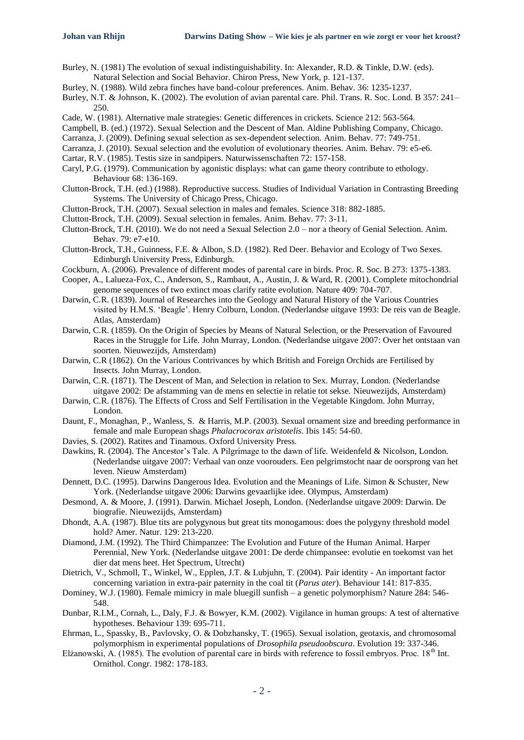- Burley, N. (1981) The evolution of sexual indistinguishability. In: Alexander, R.D. & Tinkle, D.W. (eds). Natural Selection and Social Behavior. Chiron Press, New York, p. 121-137.
- Burley, N. (1988). Wild zebra finches have band-colour preferences. Anim. Behav. 36: 1235-1237.
- Burley, N.T. & Johnson, K. (2002). The evolution of avian parental care. Phil. Trans. R. Soc. Lond. B 357: 241– 250.
- Cade, W. (1981). Alternative male strategies: Genetic differences in crickets. Science 212: 563-564.
- Campbell, B. (ed.) (1972). Sexual Selection and the Descent of Man. Aldine Publishing Company, Chicago.
- Carranza, J. (2009). Defining sexual selection as sex-dependent selection. Anim. Behav. 77: 749-751.
- Carranza, J. (2010). Sexual selection and the evolution of evolutionary theories. Anim. Behav. 79: e5-e6.
- Cartar, R.V. (1985). Testis size in sandpipers. Naturwissenschaften 72: 157-158.
- Caryl, P.G. (1979). Communication by agonistic displays: what can game theory contribute to ethology. Behaviour 68: 136-169.
- Clutton-Brock, T.H. (ed.) (1988). Reproductive success. Studies of Individual Variation in Contrasting Breeding Systems. The University of Chicago Press, Chicago.
- Clutton-Brock, T.H. (2007). Sexual selection in males and females. Science 318: 882-1885.
- Clutton-Brock, T.H. (2009). Sexual selection in females. Anim. Behav. 77: 3-11.
- Clutton-Brock, T.H. (2010). We do not need a Sexual Selection 2.0 nor a theory of Genial Selection. Anim. Behav. 79: e7-e10.
- Clutton-Brock, T.H., Guinness, F.E. & Albon, S.D. (1982). Red Deer. Behavior and Ecology of Two Sexes. Edinburgh University Press, Edinburgh.
- Cockburn, A. (2006). Prevalence of different modes of parental care in birds. Proc. R. Soc. B 273: 1375-1383.
- Cooper, A., Lalueza-Fox, C., Anderson, S., Rambaut, A., Austin, J. & Ward, R. (2001). Complete mitochondrial genome sequences of two extinct moas clarify ratite evolution. Nature 409: 704-707.
- Darwin, C.R. (1839). Journal of Researches into the Geology and Natural History of the Various Countries visited by H.M.S. 'Beagle'. Henry Colburn, London. (Nederlandse uitgave 1993: De reis van de Beagle. Atlas, Amsterdam)
- Darwin, C.R. (1859). On the Origin of Species by Means of Natural Selection, or the Preservation of Favoured Races in the Struggle for Life. John Murray, London. (Nederlandse uitgave 2007: Over het ontstaan van soorten. Nieuwezijds, Amsterdam)
- Darwin, C.R (1862). On the Various Contrivances by which British and Foreign Orchids are Fertilised by Insects. John Murray, London.
- Darwin, C.R. (1871). The Descent of Man, and Selection in relation to Sex. Murray, London. (Nederlandse uitgave 2002: De afstamming van de mens en selectie in relatie tot sekse. Nieuwezijds, Amsterdam)
- Darwin, C.R. (1876). The Effects of Cross and Self Fertilisation in the Vegetable Kingdom. John Murray, London.
- Daunt, F., Monaghan, P., Wanless, S. & Harris, M.P. (2003). Sexual ornament size and breeding performance in female and male European shags *Phalacrocorax aristotelis*. Ibis 145: 54-60.
- Davies, S. (2002). Ratites and Tinamous. Oxford University Press.
- Dawkins, R. (2004). The Ancestor's Tale. A Pilgrimage to the dawn of life. Weidenfeld & Nicolson, London. (Nederlandse uitgave 2007: Verhaal van onze voorouders. Een pelgrimstocht naar de oorsprong van het leven. Nieuw Amsterdam)
- Dennett, D.C. (1995). Darwins Dangerous Idea. Evolution and the Meanings of Life. Simon & Schuster, New York. (Nederlandse uitgave 2006: Darwins gevaarlijke idee. Olympus, Amsterdam)
- Desmond, A. & Moore, J. (1991). Darwin. Michael Joseph, London. (Nederlandse uitgave 2009: Darwin. De biografie. Nieuwezijds, Amsterdam)
- Dhondt, A.A. (1987). Blue tits are polygynous but great tits monogamous: does the polygyny threshold model hold? Amer. Natur. 129: 213-220.
- Diamond, J.M. (1992). The Third Chimpanzee: The Evolution and Future of the Human Animal. Harper Perennial, New York. (Nederlandse uitgave 2001: De derde chimpansee: evolutie en toekomst van het dier dat mens heet. Het Spectrum, Utrecht)
- Dietrich, V., Schmoll, T., Winkel, W., Epplen, J.T. & Lubjuhn, T. (2004). Pair identity An important factor concerning variation in extra-pair paternity in the coal tit (*Parus ater*). Behaviour 141: 817-835.
- Dominey, W.J. (1980). Female mimicry in male bluegill sunfish a genetic polymorphism? Nature 284: 546- 548.
- Dunbar, R.I.M., Cornah, L., Daly, F.J. & Bowyer, K.M. (2002). Vigilance in human groups: A test of alternative hypotheses. Behaviour 139: 695-711.
- Ehrman, L., Spassky, B., Pavlovsky, O. & Dobzhansky, T. (1965). Sexual isolation, geotaxis, and chromosomal polymorphism in experimental populations of *Drosophila pseudoobscura*. Evolution 19: 337-346.
- Elżanowski, A. (1985). The evolution of parental care in birds with reference to fossil embryos. Proc.  $18<sup>th</sup>$  Int. Ornithol. Congr. 1982: 178-183.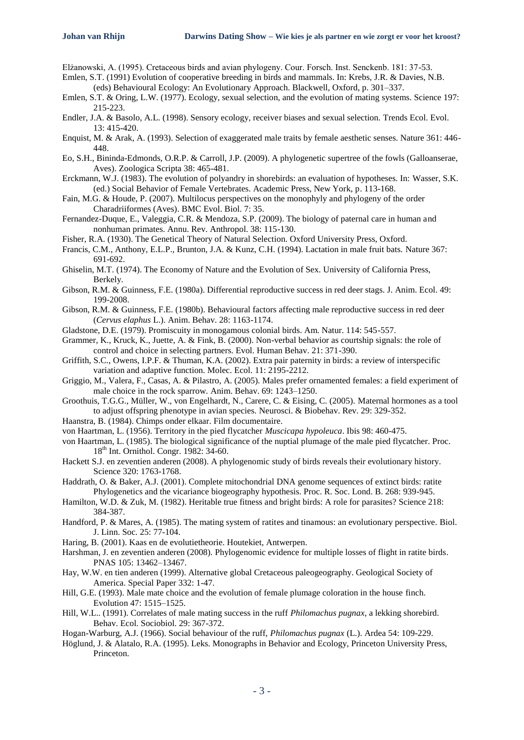Elżanowski, A. (1995). Cretaceous birds and avian phylogeny. Cour. Forsch. Inst. Senckenb. 181: 37-53.

- Emlen, S.T. (1991) Evolution of cooperative breeding in birds and mammals. In: Krebs, J.R. & Davies, N.B. (eds) Behavioural Ecology: An Evolutionary Approach. Blackwell, Oxford, p. 301–337.
- Emlen, S.T. & Oring, L.W. (1977). Ecology, sexual selection, and the evolution of mating systems. Science 197: 215-223.
- Endler, J.A. & Basolo, A.L. (1998). Sensory ecology, receiver biases and sexual selection. Trends Ecol. Evol. 13: 415-420.
- Enquist, M. & Arak, A. (1993). Selection of exaggerated male traits by female aesthetic senses. Nature 361: 446- 448.
- Eo, S.H., Bininda-Edmonds, O.R.P. & Carroll, J.P. (2009). A phylogenetic supertree of the fowls (Galloanserae, Aves). Zoologica Scripta 38: 465-481.
- Erckmann, W.J. (1983). The evolution of polyandry in shorebirds: an evaluation of hypotheses. In: Wasser, S.K. (ed.) Social Behavior of Female Vertebrates. Academic Press, New York, p. 113-168.
- Fain, M.G. & Houde, P. (2007). Multilocus perspectives on the monophyly and phylogeny of the order Charadriiformes (Aves). BMC Evol. Biol. 7: 35.
- Fernandez-Duque, E., Valeggia, C.R. & Mendoza, S.P. (2009). The biology of paternal care in human and nonhuman primates. Annu. Rev. Anthropol. 38: 115-130.
- Fisher, R.A. (1930). The Genetical Theory of Natural Selection. Oxford University Press, Oxford.
- Francis, C.M., Anthony, E.L.P., Brunton, J.A. & Kunz, C.H. (1994). Lactation in male fruit bats. Nature 367: 691-692.
- Ghiselin, M.T. (1974). The Economy of Nature and the Evolution of Sex. University of California Press, Berkely.
- Gibson, R.M. & Guinness, F.E. (1980a). Differential reproductive success in red deer stags. J. Anim. Ecol. 49: 199-2008.
- Gibson, R.M. & Guinness, F.E. (1980b). Behavioural factors affecting male reproductive success in red deer (*Cervus elaphus* L.). Anim. Behav. 28: 1163-1174.
- Gladstone, D.E. (1979). Promiscuity in monogamous colonial birds. Am. Natur. 114: 545-557.
- Grammer, K., Kruck, K., Juette, A. & Fink, B. (2000). Non-verbal behavior as courtship signals: the role of control and choice in selecting partners. Evol. Human Behav. 21: 371-390.
- Griffith, S.C., Owens, I.P.F. & Thuman, K.A. (2002). Extra pair paternity in birds: a review of interspecific variation and adaptive function. Molec. Ecol. 11: 2195-2212.
- Griggio, M., Valera, F., Casas, A. & Pilastro, A. (2005). Males prefer ornamented females: a field experiment of male choice in the rock sparrow. Anim. Behav. 69: 1243–1250.
- Groothuis, T.G.G., Müller, W., von Engelhardt, N., Carere, C. & Eising, C. (2005). Maternal hormones as a tool to adjust offspring phenotype in avian species. Neurosci. & Biobehav. Rev. 29: 329-352.
- Haanstra, B. (1984). Chimps onder elkaar. Film documentaire.
- von Haartman, L. (1956). Territory in the pied flycatcher *Muscicapa hypoleuca*. Ibis 98: 460-475.
- von Haartman, L. (1985). The biological significance of the nuptial plumage of the male pied flycatcher. Proc. 18<sup>th</sup> Int. Ornithol. Congr. 1982: 34-60.
- Hackett S.J. en zeventien anderen (2008). A phylogenomic study of birds reveals their evolutionary history. Science 320: 1763-1768.
- Haddrath, O. & Baker, A.J. (2001). Complete mitochondrial DNA genome sequences of extinct birds: ratite Phylogenetics and the vicariance biogeography hypothesis. Proc. R. Soc. Lond. B. 268: 939-945.
- Hamilton, W.D. & Zuk, M. (1982). Heritable true fitness and bright birds: A role for parasites? Science 218: 384-387.
- Handford, P. & Mares, A. (1985). The mating system of ratites and tinamous: an evolutionary perspective. Biol. J. Linn. Soc. 25: 77-104.
- Haring, B. (2001). Kaas en de evolutietheorie. Houtekiet, Antwerpen.
- Harshman, J. en zeventien anderen (2008). Phylogenomic evidence for multiple losses of flight in ratite birds. PNAS 105: 13462–13467.
- Hay, W.W. en tien anderen (1999). Alternative global Cretaceous paleogeography. Geological Society of America. Special Paper 332: 1-47.
- Hill, G.E. (1993). Male mate choice and the evolution of female plumage coloration in the house finch. Evolution 47: 1515–1525.
- Hill, W.L.. (1991). Correlates of male mating success in the ruff *Philomachus pugnax*, a lekking shorebird. Behav. Ecol. Sociobiol. 29: 367-372.
- Hogan-Warburg, A.J. (1966). Social behaviour of the ruff, *Philomachus pugnax* (L.). Ardea 54: 109-229.
- Höglund, J. & Alatalo, R.A. (1995). Leks. Monographs in Behavior and Ecology, Princeton University Press, Princeton.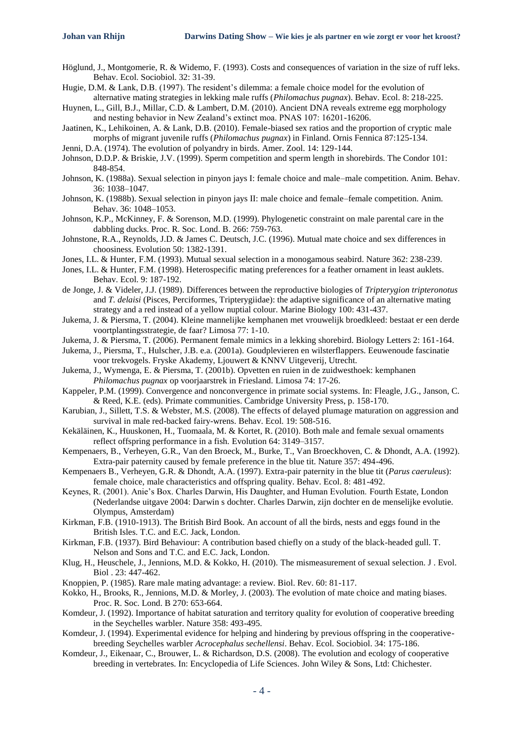- Höglund, J., Montgomerie, R. & Widemo, F. (1993). Costs and consequences of variation in the size of ruff leks. Behav. Ecol. Sociobiol. 32: 31-39.
- Hugie, D.M. & Lank, D.B. (1997). The resident's dilemma: a female choice model for the evolution of alternative mating strategies in lekking male ruffs (*Philomachus pugnax*). Behav. Ecol. 8: 218-225.
- Huynen, L., Gill, B.J., Millar, C.D. & Lambert, D.M. (2010). Ancient DNA reveals extreme egg morphology and nesting behavior in New Zealand's extinct moa. PNAS 107: 16201-16206.

Jaatinen, K., Lehikoinen, A. & Lank, D.B. (2010). Female-biased sex ratios and the proportion of cryptic male morphs of migrant juvenile ruffs (*Philomachus pugnax*) in Finland. Ornis Fennica 87:125-134.

- Jenni, D.A. (1974). The evolution of polyandry in birds. Amer. Zool. 14: 129-144.
- Johnson, D.D.P. & Briskie, J.V. (1999). Sperm competition and sperm length in shorebirds. The Condor 101: 848-854.
- Johnson, K. (1988a). Sexual selection in pinyon jays I: female choice and male–male competition. Anim. Behav. 36: 1038–1047.
- Johnson, K. (1988b). Sexual selection in pinyon jays II: male choice and female–female competition. Anim. Behav. 36: 1048–1053.
- Johnson, K.P., McKinney, F. & Sorenson, M.D. (1999). Phylogenetic constraint on male parental care in the dabbling ducks. Proc. R. Soc. Lond. B. 266: 759-763.
- Johnstone, R.A., Reynolds, J.D. & James C. Deutsch, J.C. (1996). Mutual mate choice and sex differences in choosiness. Evolution 50: 1382-1391.
- Jones, I.L. & Hunter, F.M. (1993). Mutual sexual selection in a monogamous seabird. Nature 362: 238-239.
- Jones, I.L. & Hunter, F.M. (1998). Heterospecific mating preferences for a feather ornament in least auklets. Behav. Ecol. 9: 187-192.
- de Jonge, J. & Videler, J.J. (1989). Differences between the reproductive biologies of *Tripterygion tripteronotus* and *T. delaisi* (Pisces, Perciformes, Tripterygiidae): the adaptive significance of an alternative mating strategy and a red instead of a yellow nuptial colour. Marine Biology 100: 431-437.
- Jukema, J. & Piersma, T. (2004). Kleine mannelijke kemphanen met vrouwelijk broedkleed: bestaat er een derde voortplantingsstrategie, de faar? Limosa 77: 1-10.
- Jukema, J. & Piersma, T. (2006). Permanent female mimics in a lekking shorebird. Biology Letters 2: 161-164.
- Jukema, J., Piersma, T., Hulscher, J.B. e.a. (2001a). Goudplevieren en wilsterflappers. Eeuwenoude fascinatie voor trekvogels. Fryske Akademy, Ljouwert & KNNV Uitgeverij, Utrecht.
- Jukema, J., Wymenga, E. & Piersma, T. (2001b). Opvetten en ruien in de zuidwesthoek: kemphanen *Philomachus pugnax* op voorjaarstrek in Friesland. Limosa 74: 17-26.
- Kappeler, P.M. (1999). Convergence and nonconvergence in primate social systems. In: Fleagle, J.G., Janson, C. & Reed, K.E. (eds). Primate communities. Cambridge University Press, p. 158-170.
- Karubian, J., Sillett, T.S. & Webster, M.S. (2008). The effects of delayed plumage maturation on aggression and survival in male red-backed fairy-wrens. Behav. Ecol. 19: 508-516.
- Kekäläinen, K., Huuskonen, H., Tuomaala, M. & Kortet, R. (2010). Both male and female sexual ornaments reflect offspring performance in a fish. Evolution 64: 3149–3157.
- Kempenaers, B., Verheyen, G.R., Van den Broeck, M., Burke, T., Van Broeckhoven, C. & Dhondt, A.A. (1992). Extra-pair paternity caused by female preference in the blue tit. Nature 357: 494-496.
- Kempenaers B., Verheyen, G.R. & Dhondt, A.A. (1997). Extra-pair paternity in the blue tit (*Parus caeruleus*): female choice, male characteristics and offspring quality. Behav. Ecol. 8: 481-492.
- Keynes, R. (2001). Anie's Box. Charles Darwin, His Daughter, and Human Evolution. Fourth Estate, London (Nederlandse uitgave 2004: Darwin s dochter. Charles Darwin, zijn dochter en de menselijke evolutie. Olympus, Amsterdam)
- Kirkman, F.B. (1910-1913). The British Bird Book. An account of all the birds, nests and eggs found in the British Isles. T.C. and E.C. Jack, London.
- Kirkman, F.B. (1937). Bird Behaviour: A contribution based chiefly on a study of the black-headed gull. T. Nelson and Sons and T.C. and E.C. Jack, London.
- Klug, H., Heuschele, J., Jennions, M.D. & Kokko, H. (2010). The mismeasurement of sexual selection. J . Evol. Biol . 23: 447-462.
- Knoppien, P. (1985). Rare male mating advantage: a review. Biol. Rev. 60: 81-117.
- Kokko, H., Brooks, R., Jennions, M.D. & Morley, J. (2003). The evolution of mate choice and mating biases. Proc. R. Soc. Lond. B 270: 653-664.
- Komdeur, J. (1992). Importance of habitat saturation and territory quality for evolution of cooperative breeding in the Seychelles warbler. Nature 358: 493-495.
- Komdeur, J. (1994). Experimental evidence for helping and hindering by previous offspring in the cooperativebreeding Seychelles warbler *Acrocephalus sechellensi*. Behav. Ecol. Sociobiol. 34: 175-186.
- Komdeur, J., Eikenaar, C., Brouwer, L. & Richardson, D.S. (2008). The evolution and ecology of cooperative breeding in vertebrates. In: Encyclopedia of Life Sciences. John Wiley & Sons, Ltd: Chichester.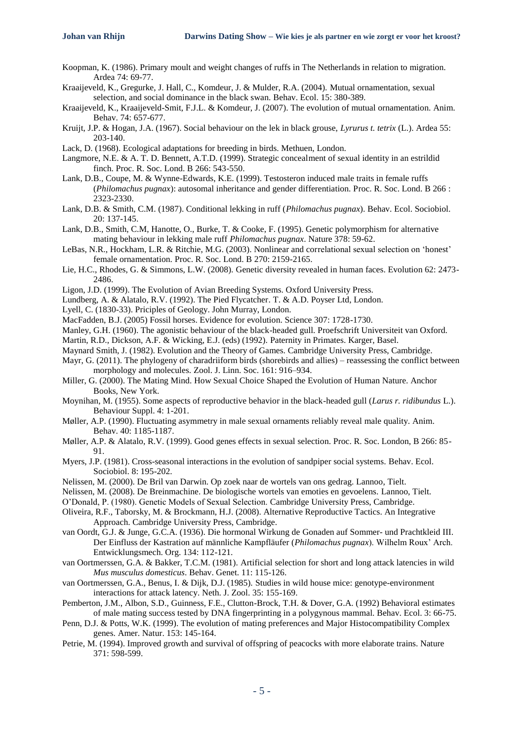- Koopman, K. (1986). Primary moult and weight changes of ruffs in The Netherlands in relation to migration. Ardea 74: 69-77.
- Kraaijeveld, K., Gregurke, J. Hall, C., Komdeur, J. & Mulder, R.A. (2004). Mutual ornamentation, sexual selection, and social dominance in the black swan. Behav. Ecol. 15: 380-389.
- Kraaijeveld, K., Kraaijeveld-Smit, F.J.L. & Komdeur, J. (2007). The evolution of mutual ornamentation. Anim. Behav. 74: 657-677.
- Kruijt, J.P. & Hogan, J.A. (1967). Social behaviour on the lek in black grouse, *Lyrurus t. tetrix* (L.). Ardea 55: 203-140.
- Lack, D. (1968). Ecological adaptations for breeding in birds. Methuen, London.
- Langmore, N.E. & A. T. D. Bennett, A.T.D. (1999). Strategic concealment of sexual identity in an estrildid finch. Proc. R. Soc. Lond. B 266: 543-550.
- Lank, D.B., Coupe, M. & Wynne-Edwards, K.E. (1999). Testosteron induced male traits in female ruffs (*Philomachus pugnax*): autosomal inheritance and gender differentiation. Proc. R. Soc. Lond. B 266 : 2323-2330.
- Lank, D.B. & Smith, C.M. (1987). Conditional lekking in ruff (*Philomachus pugnax*). Behav. Ecol. Sociobiol. 20: 137-145.
- Lank, D.B., Smith, C.M, Hanotte, O., Burke, T. & Cooke, F. (1995). Genetic polymorphism for alternative mating behaviour in lekking male ruff *Philomachus pugnax*. Nature 378: 59-62.
- LeBas, N.R., Hockham, L.R. & Ritchie, M.G. (2003). Nonlinear and correlational sexual selection on 'honest' female ornamentation. Proc. R. Soc. Lond. B 270: 2159-2165.
- Lie, H.C., Rhodes, G. & Simmons, L.W. (2008). Genetic diversity revealed in human faces. Evolution 62: 2473- 2486.
- Ligon, J.D. (1999). The Evolution of Avian Breeding Systems. Oxford University Press.
- Lundberg, A. & Alatalo, R.V. (1992). The Pied Flycatcher. T. & A.D. Poyser Ltd, London.
- Lyell, C. (1830-33). Priciples of Geology. John Murray, London.
- MacFadden, B.J. (2005) Fossil horses. Evidence for evolution. Science 307: 1728-1730.
- Manley, G.H. (1960). The agonistic behaviour of the black-headed gull. Proefschrift Universiteit van Oxford.
- Martin, R.D., Dickson, A.F. & Wicking, E.J. (eds) (1992). Paternity in Primates. Karger, Basel.
- Maynard Smith, J. (1982). Evolution and the Theory of Games. Cambridge University Press, Cambridge.
- Mayr, G. (2011). The phylogeny of charadriiform birds (shorebirds and allies) reassessing the conflict between morphology and molecules. Zool. J. Linn. Soc. 161: 916–934.
- Miller, G. (2000). The Mating Mind. How Sexual Choice Shaped the Evolution of Human Nature. Anchor Books, New York.
- Moynihan, M. (1955). Some aspects of reproductive behavior in the black-headed gull (*Larus r. ridibundus* L.). Behaviour Suppl. 4: 1-201.
- Møller, A.P. (1990). Fluctuating asymmetry in male sexual ornaments reliably reveal male quality. Anim. Behav. 40: 1185-1187.
- Møller, A.P. & Alatalo, R.V. (1999). Good genes effects in sexual selection. Proc. R. Soc. London, B 266: 85- 91.
- Myers, J.P. (1981). Cross-seasonal interactions in the evolution of sandpiper social systems. Behav. Ecol. Sociobiol. 8: 195-202.
- Nelissen, M. (2000). De Bril van Darwin. Op zoek naar de wortels van ons gedrag. Lannoo, Tielt.
- Nelissen, M. (2008). De Breinmachine. De biologische wortels van emoties en gevoelens. Lannoo, Tielt.
- O'Donald, P. (1980). Genetic Models of Sexual Selection. Cambridge University Press, Cambridge.
- Oliveira, R.F., Taborsky, M. & Brockmann, H.J. (2008). Alternative Reproductive Tactics. An Integrative Approach. Cambridge University Press, Cambridge.
- van Oordt, G.J. & Junge, G.C.A. (1936). Die hormonal Wirkung de Gonaden auf Sommer- und Prachtkleid III. Der Einfluss der Kastration auf männliche Kampfläufer (*Philomachus pugnax*). Wilhelm Roux' Arch. Entwicklungsmech. Org. 134: 112-121.
- van Oortmerssen, G.A. & Bakker, T.C.M. (1981). Artificial selection for short and long attack latencies in wild *Mus musculus domesticus*. Behav. Genet. 11: 115-126.
- van Oortmerssen, G.A., Benus, I. & Dijk, D.J. (1985). Studies in wild house mice: genotype-environment interactions for attack latency. Neth. J. Zool. 35: 155-169.
- Pemberton, J.M., Albon, S.D., Guinness, F.E., Clutton-Brock, T.H. & Dover, G.A. (1992) Behavioral estimates of male mating success tested by DNA fingerprinting in a polygynous mammal. Behav. Ecol. 3: 66-75.
- Penn, D.J. & Potts, W.K. (1999). The evolution of mating preferences and Major Histocompatibility Complex genes. Amer. Natur. 153: 145-164.
- Petrie, M. (1994). Improved growth and survival of offspring of peacocks with more elaborate trains. Nature 371: 598-599.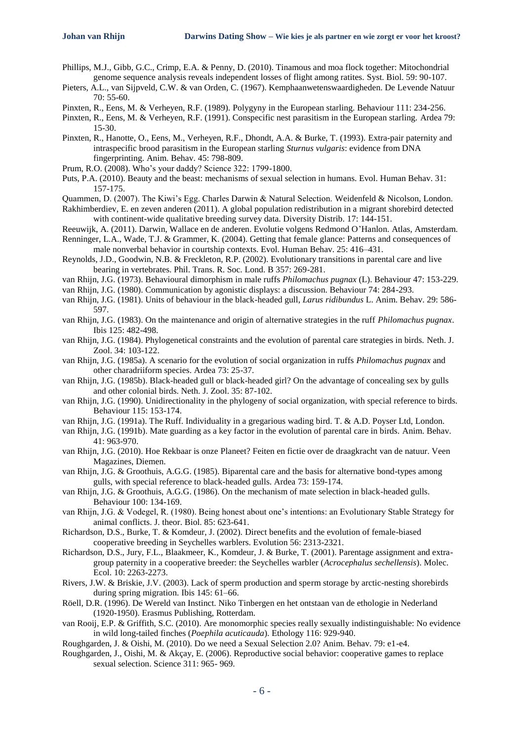- Phillips, M.J., Gibb, G.C., Crimp, E.A. & Penny, D. (2010). Tinamous and moa flock together: Mitochondrial genome sequence analysis reveals independent losses of flight among ratites. Syst. Biol. 59: 90-107.
- Pieters, A.L., van Sijpveld, C.W. & van Orden, C. (1967). Kemphaanwetenswaardigheden. De Levende Natuur 70: 55-60.
- Pinxten, R., Eens, M. & Verheyen, R.F. (1989). Polygyny in the European starling. Behaviour 111: 234-256.
- Pinxten, R., Eens, M. & Verheyen, R.F. (1991). Conspecific nest parasitism in the European starling. Ardea 79: 15-30.
- Pinxten, R., Hanotte, O., Eens, M., Verheyen, R.F., Dhondt, A.A. & Burke, T. (1993). Extra-pair paternity and intraspecific brood parasitism in the European starling *Sturnus vulgaris*: evidence from DNA fingerprinting. Anim. Behav. 45: 798-809.
- Prum, R.O. (2008). Who's your daddy? Science 322: 1799-1800.
- Puts, P.A. (2010). Beauty and the beast: mechanisms of sexual selection in humans. Evol. Human Behav. 31: 157-175.
- Quammen, D. (2007). The Kiwi's Egg. Charles Darwin & Natural Selection. Weidenfeld & Nicolson, London.

Rakhimberdiev, E. en zeven anderen (2011). A global population redistribution in a migrant shorebird detected with continent-wide qualitative breeding survey data. Diversity Distrib. 17: 144-151.

Reeuwijk, A. (2011). Darwin, Wallace en de anderen. Evolutie volgens Redmond O'Hanlon. Atlas, Amsterdam. Renninger, L.A., Wade, T.J. & Grammer, K. (2004). Getting that female glance: Patterns and consequences of

male nonverbal behavior in courtship contexts. Evol. Human Behav. 25: 416–431.

- Reynolds, J.D., Goodwin, N.B. & Freckleton, R.P. (2002). Evolutionary transitions in parental care and live bearing in vertebrates. Phil. Trans. R. Soc. Lond. B 357: 269-281.
- van Rhijn, J.G. (1973). Behavioural dimorphism in male ruffs *Philomachus pugnax* (L). Behaviour 47: 153-229.

van Rhijn, J.G. (1980). Communication by agonistic displays: a discussion. Behaviour 74: 284-293.

- van Rhijn, J.G. (1981). Units of behaviour in the black-headed gull, *Larus ridibundus* L. Anim. Behav. 29: 586- 597.
- van Rhijn, J.G. (1983). On the maintenance and origin of alternative strategies in the ruff *Philomachus pugnax*. Ibis 125: 482-498.
- van Rhijn, J.G. (1984). Phylogenetical constraints and the evolution of parental care strategies in birds. Neth. J. Zool. 34: 103-122.
- van Rhijn, J.G. (1985a). A scenario for the evolution of social organization in ruffs *Philomachus pugnax* and other charadriiform species. Ardea 73: 25-37.
- van Rhijn, J.G. (1985b). Black-headed gull or black-headed girl? On the advantage of concealing sex by gulls and other colonial birds. Neth. J. Zool. 35: 87-102.
- van Rhijn, J.G. (1990). Unidirectionality in the phylogeny of social organization, with special reference to birds. Behaviour 115: 153-174.
- van Rhijn, J.G. (1991a). The Ruff. Individuality in a gregarious wading bird. T. & A.D. Poyser Ltd, London.
- van Rhijn, J.G. (1991b). Mate guarding as a key factor in the evolution of parental care in birds. Anim. Behav. 41: 963-970.
- van Rhijn, J.G. (2010). Hoe Rekbaar is onze Planeet? Feiten en fictie over de draagkracht van de natuur. Veen Magazines, Diemen.
- van Rhijn, J.G. & Groothuis, A.G.G. (1985). Biparental care and the basis for alternative bond-types among gulls, with special reference to black-headed gulls. Ardea 73: 159-174.
- van Rhijn, J.G. & Groothuis, A.G.G. (1986). On the mechanism of mate selection in black-headed gulls. Behaviour 100: 134-169.
- van Rhijn, J.G. & Vodegel, R. (1980). Being honest about one's intentions: an Evolutionary Stable Strategy for animal conflicts. J. theor. Biol. 85: 623-641.
- Richardson, D.S., Burke, T. & Komdeur, J. (2002). Direct benefits and the evolution of female-biased cooperative breeding in Seychelles warblers. Evolution 56: 2313-2321.
- Richardson, D.S., Jury, F.L., Blaakmeer, K., Komdeur, J. & Burke, T. (2001). Parentage assignment and extragroup paternity in a cooperative breeder: the Seychelles warbler (*Acrocephalus sechellensis*). Molec. Ecol. 10: 2263-2273.
- Rivers, J.W. & Briskie, J.V. (2003). Lack of sperm production and sperm storage by arctic-nesting shorebirds during spring migration. Ibis 145: 61–66.
- Röell, D.R. (1996). De Wereld van Instinct. Niko Tinbergen en het ontstaan van de ethologie in Nederland (1920-1950). Erasmus Publishing, Rotterdam.
- van Rooij, E.P. & Griffith, S.C. (2010). Are monomorphic species really sexually indistinguishable: No evidence in wild long-tailed finches (*Poephila acuticauda*). Ethology 116: 929-940.

Roughgarden, J. & Oishi, M. (2010). Do we need a Sexual Selection 2.0? Anim. Behav. 79: e1-e4.

Roughgarden, J., Oishi, M. & Akçay, E. (2006). Reproductive social behavior: cooperative games to replace sexual selection. Science 311: 965- 969.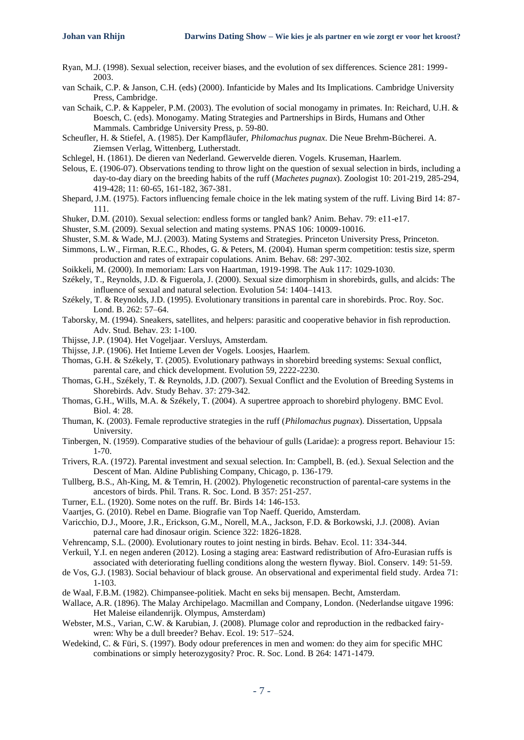- Ryan, M.J. (1998). Sexual selection, receiver biases, and the evolution of sex differences. Science 281: 1999- 2003.
- van Schaik, C.P. & Janson, C.H. (eds) (2000). Infanticide by Males and Its Implications. Cambridge University Press, Cambridge.

van Schaik, C.P. & Kappeler, P.M. (2003). The evolution of social monogamy in primates. In: Reichard, U.H. & Boesch, C. (eds). Monogamy. Mating Strategies and Partnerships in Birds, Humans and Other Mammals. Cambridge University Press, p. 59-80.

Scheufler, H. & Stiefel, A. (1985). Der Kampfläufer, *Philomachus pugnax*. Die Neue Brehm-Bücherei. A. Ziemsen Verlag, Wittenberg, Lutherstadt.

- Schlegel, H. (1861). De dieren van Nederland. Gewervelde dieren. Vogels. Kruseman, Haarlem.
- Selous, E. (1906-07). Observations tending to throw light on the question of sexual selection in birds, including a day-to-day diary on the breeding habits of the ruff (*Machetes pugnax*). Zoologist 10: 201-219, 285-294, 419-428; 11: 60-65, 161-182, 367-381.
- Shepard, J.M. (1975). Factors influencing female choice in the lek mating system of the ruff. Living Bird 14: 87- 111.
- Shuker, D.M. (2010). Sexual selection: endless forms or tangled bank? Anim. Behav. 79: e11-e17.
- Shuster, S.M. (2009). Sexual selection and mating systems. PNAS 106: 10009-10016.
- Shuster, S.M. & Wade, M.J. (2003). Mating Systems and Strategies. Princeton University Press, Princeton.
- Simmons, L.W., Firman, R.E.C., Rhodes, G. & Peters, M. (2004). Human sperm competition: testis size, sperm production and rates of extrapair copulations. Anim. Behav. 68: 297-302.
- Soikkeli, M. (2000). In memoriam: Lars von Haartman, 1919-1998. The Auk 117: 1029-1030.
- Székely, T., Reynolds, J.D. & Figuerola, J. (2000). Sexual size dimorphism in shorebirds, gulls, and alcids: The influence of sexual and natural selection. Evolution 54: 1404–1413.
- Székely, T. & Reynolds, J.D. (1995). Evolutionary transitions in parental care in shorebirds. Proc. Roy. Soc. Lond. B. 262: 57–64.
- Taborsky, M. (1994). Sneakers, satellites, and helpers: parasitic and cooperative behavior in fish reproduction. Adv. Stud. Behav. 23: 1-100.
- Thijsse, J.P. (1904). Het Vogeljaar. Versluys, Amsterdam.
- Thijsse, J.P. (1906). Het Intieme Leven der Vogels. Loosjes, Haarlem.
- Thomas, G.H. & Székely, T. (2005). Evolutionary pathways in shorebird breeding systems: Sexual conflict, parental care, and chick development. Evolution 59, 2222-2230.
- Thomas, G.H., Székely, T. & Reynolds, J.D. (2007). Sexual Conflict and the Evolution of Breeding Systems in Shorebirds. Adv. Study Behav. 37: 279-342.
- Thomas, G.H., Wills, M.A. & Székely, T. (2004). A supertree approach to shorebird phylogeny. BMC Evol. Biol. 4: 28.
- Thuman, K. (2003). Female reproductive strategies in the ruff (*Philomachus pugnax*). Dissertation, Uppsala University.
- Tinbergen, N. (1959). Comparative studies of the behaviour of gulls (Laridae): a progress report. Behaviour 15: 1-70.
- Trivers, R.A. (1972). Parental investment and sexual selection. In: Campbell, B. (ed.). Sexual Selection and the Descent of Man. Aldine Publishing Company, Chicago, p. 136-179.
- Tullberg, B.S., Ah-King, M. & Temrin, H. (2002). Phylogenetic reconstruction of parental-care systems in the ancestors of birds. Phil. Trans. R. Soc. Lond. B 357: 251-257.
- Turner, E.L. (1920). Some notes on the ruff. Br. Birds 14: 146-153.
- Vaartjes, G. (2010). Rebel en Dame. Biografie van Top Naeff. Querido, Amsterdam.
- Varicchio, D.J., Moore, J.R., Erickson, G.M., Norell, M.A., Jackson, F.D. & Borkowski, J.J. (2008). Avian paternal care had dinosaur origin. Science 322: 1826-1828.
- Vehrencamp, S.L. (2000). Evolutionary routes to joint nesting in birds. Behav. Ecol. 11: 334-344.
- Verkuil, Y.I. en negen anderen (2012). Losing a staging area: Eastward redistribution of Afro-Eurasian ruffs is associated with deteriorating fuelling conditions along the western flyway. Biol. Conserv. 149: 51-59.
- de Vos, G.J. (1983). Social behaviour of black grouse. An observational and experimental field study. Ardea 71: 1-103.
- de Waal, F.B.M. (1982). Chimpansee-politiek. Macht en seks bij mensapen. Becht, Amsterdam.
- Wallace, A.R. (1896). The Malay Archipelago. Macmillan and Company, London. (Nederlandse uitgave 1996: Het Maleise eilandenrijk. Olympus, Amsterdam)
- Webster, M.S., Varian, C.W. & Karubian, J. (2008). Plumage color and reproduction in the redbacked fairywren: Why be a dull breeder? Behav. Ecol. 19: 517–524.
- Wedekind, C. & Füri, S. (1997). Body odour preferences in men and women: do they aim for specific MHC combinations or simply heterozygosity? Proc. R. Soc. Lond. B 264: 1471-1479.